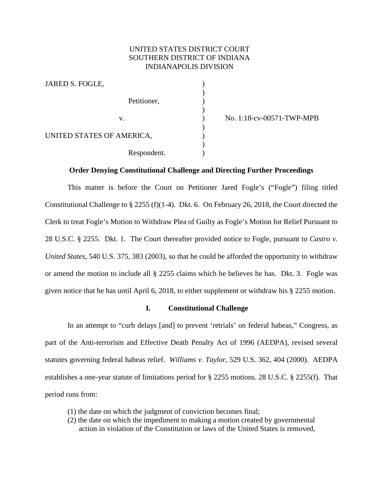# UNITED STATES DISTRICT COURT SOUTHERN DISTRICT OF INDIANA INDIANAPOLIS DIVISION

| JARED S. FOGLE,           |  |
|---------------------------|--|
|                           |  |
| Petitioner,               |  |
|                           |  |
| $V_{-}$                   |  |
|                           |  |
| UNITED STATES OF AMERICA, |  |
|                           |  |
| Respondent.               |  |

v. ) No. 1:18-cv-00571-TWP-MPB

### **Order Denying Constitutional Challenge and Directing Further Proceedings**

This matter is before the Court on Petitioner Jared Fogle's ("Fogle") filing titled Constitutional Challenge to  $\S 2255$  (f)(1-4). Dkt. 6. On February 26, 2018, the Court directed the Clerk to treat Fogle's Motion to Withdraw Plea of Guilty as Fogle's Motion for Relief Pursuant to 28 U.S.C. § 2255. Dkt. 1. The Court thereafter provided notice to Fogle, pursuant to *Castro v. United States*, 540 U.S. 375, 383 (2003), so that he could be afforded the opportunity to withdraw or amend the motion to include all § 2255 claims which he believes he has. Dkt. 3. Fogle was given notice that he has until April 6, 2018, to either supplement or withdraw his § 2255 motion.

#### **I. Constitutional Challenge**

In an attempt to "curb delays [and] to prevent 'retrials' on federal habeas," Congress, as part of the Anti-terrorism and Effective Death Penalty Act of 1996 (AEDPA), revised several statutes governing federal habeas relief. *Williams v. Taylor*, 529 U.S. 362, 404 (2000). AEDPA establishes a one-year statute of limitations period for § 2255 motions. 28 U.S.C. § 2255(f). That period runs from:

- (1) the date on which the judgment of conviction becomes final;
- (2) the date on which the impediment to making a motion created by governmental action in violation of the Constitution or laws of the United States is removed,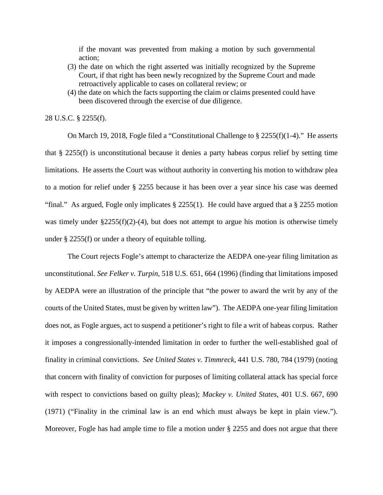if the movant was prevented from making a motion by such governmental action;

- (3) the date on which the right asserted was initially recognized by the Supreme Court, if that right has been newly recognized by the Supreme Court and made retroactively applicable to cases on collateral review; or
- (4) the date on which the facts supporting the claim or claims presented could have been discovered through the exercise of due diligence.

28 U.S.C. § 2255(f).

On March 19, 2018, Fogle filed a "Constitutional Challenge to § 2255(f)(1-4)." He asserts that § 2255(f) is unconstitutional because it denies a party habeas corpus relief by setting time limitations. He asserts the Court was without authority in converting his motion to withdraw plea to a motion for relief under § 2255 because it has been over a year since his case was deemed "final." As argued, Fogle only implicates  $\S 2255(1)$ . He could have argued that a  $\S 2255$  motion was timely under  $\S 2255(f)(2)-(4)$ , but does not attempt to argue his motion is otherwise timely under § 2255(f) or under a theory of equitable tolling.

The Court rejects Fogle's attempt to characterize the AEDPA one-year filing limitation as unconstitutional. *See Felker v. Turpin*, 518 U.S. 651, 664 (1996) (finding that limitations imposed by AEDPA were an illustration of the principle that "the power to award the writ by any of the courts of the United States, must be given by written law"). The AEDPA one-year filing limitation does not, as Fogle argues, act to suspend a petitioner's right to file a writ of habeas corpus. Rather it imposes a congressionally-intended limitation in order to further the well-established goal of finality in criminal convictions. *See United States v. Timmreck*, 441 U.S. 780, 784 (1979) (noting that concern with finality of conviction for purposes of limiting collateral attack has special force with respect to convictions based on guilty pleas); *Mackey v. United States*, 401 U.S. 667, 690 (1971) ("Finality in the criminal law is an end which must always be kept in plain view."). Moreover, Fogle has had ample time to file a motion under § 2255 and does not argue that there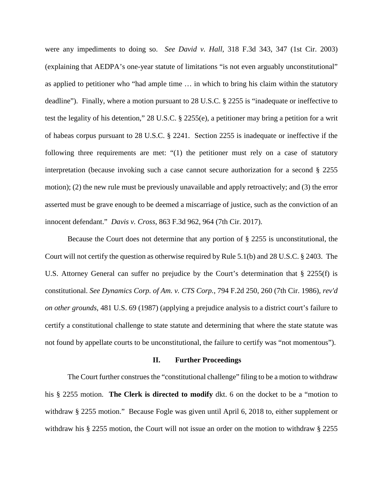were any impediments to doing so. *See David v. Hall*, 318 F.3d 343, 347 (1st Cir. 2003) (explaining that AEDPA's one-year statute of limitations "is not even arguably unconstitutional" as applied to petitioner who "had ample time … in which to bring his claim within the statutory deadline"). Finally, where a motion pursuant to 28 U.S.C. § 2255 is "inadequate or ineffective to test the legality of his detention," 28 U.S.C. § 2255(e), a petitioner may bring a petition for a writ of habeas corpus pursuant to 28 U.S.C. § 2241. Section 2255 is inadequate or ineffective if the following three requirements are met: "(1) the petitioner must rely on a case of statutory interpretation (because invoking such a case cannot secure authorization for a second § 2255 motion); (2) the new rule must be previously unavailable and apply retroactively; and (3) the error asserted must be grave enough to be deemed a miscarriage of justice, such as the conviction of an innocent defendant." *Davis v. Cross*, 863 F.3d 962, 964 (7th Cir. 2017).

Because the Court does not determine that any portion of § 2255 is unconstitutional, the Court will not certify the question as otherwise required by Rule 5.1(b) and 28 U.S.C. § 2403. The U.S. Attorney General can suffer no prejudice by the Court's determination that § 2255(f) is constitutional. *See Dynamics Corp. of Am. v. CTS Corp.*, 794 F.2d 250, 260 (7th Cir. 1986), *rev'd on other grounds*, 481 U.S. 69 (1987) (applying a prejudice analysis to a district court's failure to certify a constitutional challenge to state statute and determining that where the state statute was not found by appellate courts to be unconstitutional, the failure to certify was "not momentous").

#### **II. Further Proceedings**

The Court further construes the "constitutional challenge" filing to be a motion to withdraw his § 2255 motion. **The Clerk is directed to modify** dkt. 6 on the docket to be a "motion to withdraw § 2255 motion." Because Fogle was given until April 6, 2018 to, either supplement or withdraw his § 2255 motion, the Court will not issue an order on the motion to withdraw § 2255